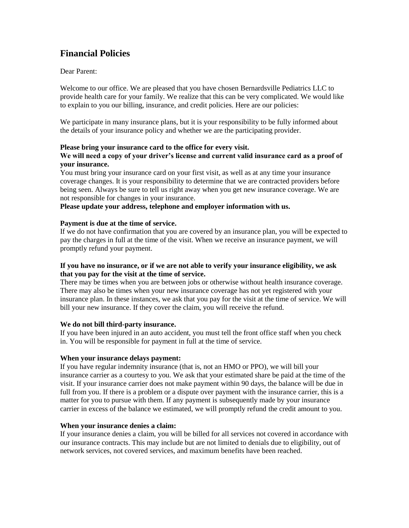# **Financial Policies**

Dear Parent:

Welcome to our office. We are pleased that you have chosen Bernardsville Pediatrics LLC to provide health care for your family. We realize that this can be very complicated. We would like to explain to you our billing, insurance, and credit policies. Here are our policies:

We participate in many insurance plans, but it is your responsibility to be fully informed about the details of your insurance policy and whether we are the participating provider.

## **Please bring your insurance card to the office for every visit. We will need a copy of your driver's license and current valid insurance card as a proof of your insurance.**

You must bring your insurance card on your first visit, as well as at any time your insurance coverage changes. It is your responsibility to determine that we are contracted providers before being seen. Always be sure to tell us right away when you get new insurance coverage. We are not responsible for changes in your insurance.

**Please update your address, telephone and employer information with us.**

# **Payment is due at the time of service.**

If we do not have confirmation that you are covered by an insurance plan, you will be expected to pay the charges in full at the time of the visit. When we receive an insurance payment, we will promptly refund your payment.

# **If you have no insurance, or if we are not able to verify your insurance eligibility, we ask that you pay for the visit at the time of service.**

There may be times when you are between jobs or otherwise without health insurance coverage. There may also be times when your new insurance coverage has not yet registered with your insurance plan. In these instances, we ask that you pay for the visit at the time of service. We will bill your new insurance. If they cover the claim, you will receive the refund.

# **We do not bill third-party insurance.**

If you have been injured in an auto accident, you must tell the front office staff when you check in. You will be responsible for payment in full at the time of service.

# **When your insurance delays payment:**

If you have regular indemnity insurance (that is, not an HMO or PPO), we will bill your insurance carrier as a courtesy to you. We ask that your estimated share be paid at the time of the visit. If your insurance carrier does not make payment within 90 days, the balance will be due in full from you. If there is a problem or a dispute over payment with the insurance carrier, this is a matter for you to pursue with them. If any payment is subsequently made by your insurance carrier in excess of the balance we estimated, we will promptly refund the credit amount to you.

# **When your insurance denies a claim:**

If your insurance denies a claim, you will be billed for all services not covered in accordance with our insurance contracts. This may include but are not limited to denials due to eligibility, out of network services, not covered services, and maximum benefits have been reached.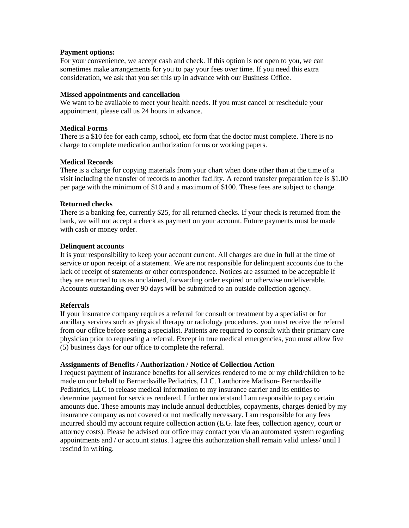## **Payment options:**

For your convenience, we accept cash and check. If this option is not open to you, we can sometimes make arrangements for you to pay your fees over time. If you need this extra consideration, we ask that you set this up in advance with our Business Office.

#### **Missed appointments and cancellation**

We want to be available to meet your health needs. If you must cancel or reschedule your appointment, please call us 24 hours in advance.

## **Medical Forms**

There is a \$10 fee for each camp, school, etc form that the doctor must complete. There is no charge to complete medication authorization forms or working papers.

## **Medical Records**

There is a charge for copying materials from your chart when done other than at the time of a visit including the transfer of records to another facility. A record transfer preparation fee is \$1.00 per page with the minimum of \$10 and a maximum of \$100. These fees are subject to change.

## **Returned checks**

There is a banking fee, currently \$25, for all returned checks. If your check is returned from the bank, we will not accept a check as payment on your account. Future payments must be made with cash or money order.

## **Delinquent accounts**

It is your responsibility to keep your account current. All charges are due in full at the time of service or upon receipt of a statement. We are not responsible for delinquent accounts due to the lack of receipt of statements or other correspondence. Notices are assumed to be acceptable if they are returned to us as unclaimed, forwarding order expired or otherwise undeliverable. Accounts outstanding over 90 days will be submitted to an outside collection agency.

# **Referrals**

If your insurance company requires a referral for consult or treatment by a specialist or for ancillary services such as physical therapy or radiology procedures, you must receive the referral from our office before seeing a specialist. Patients are required to consult with their primary care physician prior to requesting a referral. Except in true medical emergencies, you must allow five (5) business days for our office to complete the referral.

# **Assignments of Benefits / Authorization / Notice of Collection Action**

I request payment of insurance benefits for all services rendered to me or my child/children to be made on our behalf to Bernardsville Pediatrics, LLC. I authorize Madison- Bernardsville Pediatrics, LLC to release medical information to my insurance carrier and its entities to determine payment for services rendered. I further understand I am responsible to pay certain amounts due. These amounts may include annual deductibles, copayments, charges denied by my insurance company as not covered or not medically necessary. I am responsible for any fees incurred should my account require collection action (E.G. late fees, collection agency, court or attorney costs). Please be advised our office may contact you via an automated system regarding appointments and / or account status. I agree this authorization shall remain valid unless/ until I rescind in writing.